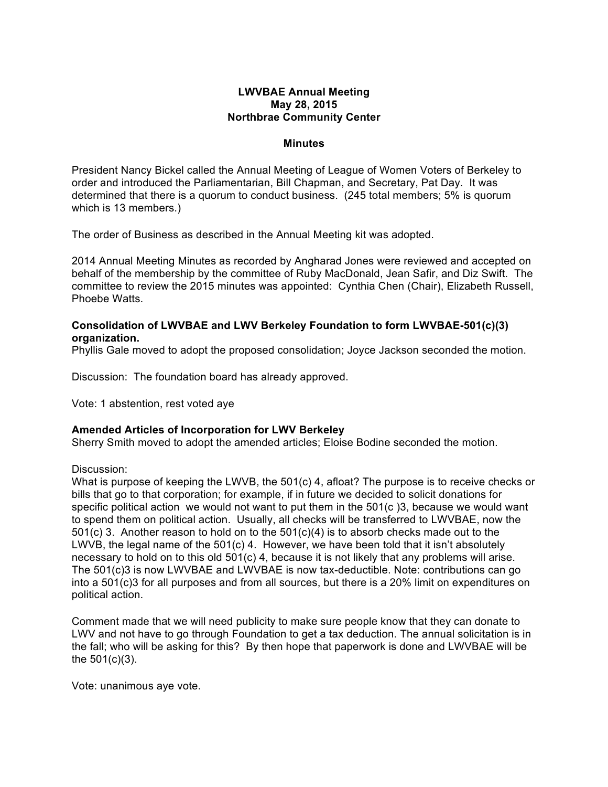## **LWVBAE Annual Meeting May 28, 2015 Northbrae Community Center**

#### **Minutes**

President Nancy Bickel called the Annual Meeting of League of Women Voters of Berkeley to order and introduced the Parliamentarian, Bill Chapman, and Secretary, Pat Day. It was determined that there is a quorum to conduct business. (245 total members; 5% is quorum which is 13 members.)

The order of Business as described in the Annual Meeting kit was adopted.

2014 Annual Meeting Minutes as recorded by Angharad Jones were reviewed and accepted on behalf of the membership by the committee of Ruby MacDonald, Jean Safir, and Diz Swift. The committee to review the 2015 minutes was appointed: Cynthia Chen (Chair), Elizabeth Russell, Phoebe Watts.

## **Consolidation of LWVBAE and LWV Berkeley Foundation to form LWVBAE-501(c)(3) organization.**

Phyllis Gale moved to adopt the proposed consolidation; Joyce Jackson seconded the motion.

Discussion: The foundation board has already approved.

Vote: 1 abstention, rest voted aye

## **Amended Articles of Incorporation for LWV Berkeley**

Sherry Smith moved to adopt the amended articles; Eloise Bodine seconded the motion.

#### Discussion:

What is purpose of keeping the LWVB, the 501(c) 4, afloat? The purpose is to receive checks or bills that go to that corporation; for example, if in future we decided to solicit donations for specific political action we would not want to put them in the 501(c )3, because we would want to spend them on political action. Usually, all checks will be transferred to LWVBAE, now the  $501(c)$  3. Another reason to hold on to the  $501(c)(4)$  is to absorb checks made out to the LWVB, the legal name of the 501(c) 4. However, we have been told that it isn't absolutely necessary to hold on to this old 501(c) 4, because it is not likely that any problems will arise. The 501(c)3 is now LWVBAE and LWVBAE is now tax-deductible. Note: contributions can go into a 501(c)3 for all purposes and from all sources, but there is a 20% limit on expenditures on political action.

Comment made that we will need publicity to make sure people know that they can donate to LWV and not have to go through Foundation to get a tax deduction. The annual solicitation is in the fall; who will be asking for this? By then hope that paperwork is done and LWVBAE will be the 501(c)(3).

Vote: unanimous aye vote.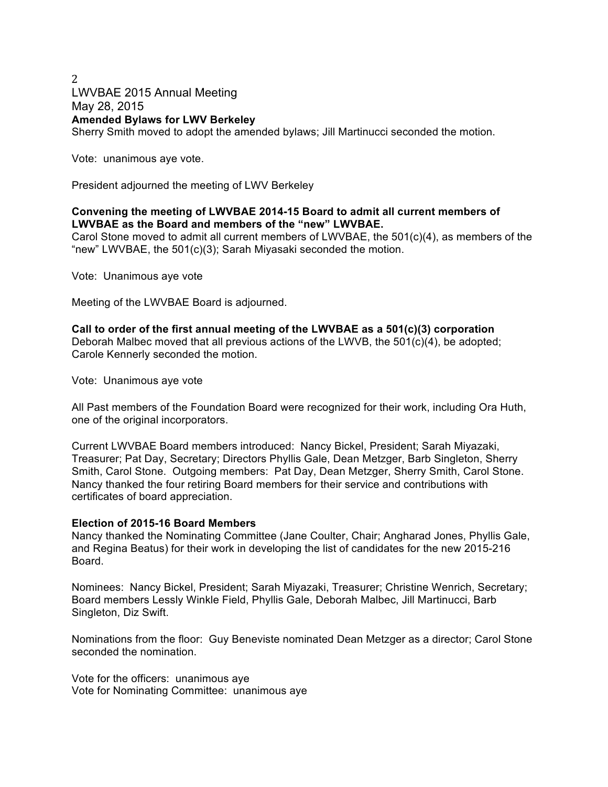# 2 LWVBAE 2015 Annual Meeting May 28, 2015 **Amended Bylaws for LWV Berkeley** Sherry Smith moved to adopt the amended bylaws; Jill Martinucci seconded the motion.

Vote: unanimous aye vote.

President adjourned the meeting of LWV Berkeley

# **Convening the meeting of LWVBAE 2014-15 Board to admit all current members of LWVBAE as the Board and members of the "new" LWVBAE.**

Carol Stone moved to admit all current members of LWVBAE, the 501(c)(4), as members of the "new" LWVBAE, the 501(c)(3); Sarah Miyasaki seconded the motion.

Vote: Unanimous aye vote

Meeting of the LWVBAE Board is adjourned.

#### **Call to order of the first annual meeting of the LWVBAE as a 501(c)(3) corporation** Deborah Malbec moved that all previous actions of the LWVB, the  $501(c)(4)$ , be adopted; Carole Kennerly seconded the motion.

Vote: Unanimous aye vote

All Past members of the Foundation Board were recognized for their work, including Ora Huth, one of the original incorporators.

Current LWVBAE Board members introduced: Nancy Bickel, President; Sarah Miyazaki, Treasurer; Pat Day, Secretary; Directors Phyllis Gale, Dean Metzger, Barb Singleton, Sherry Smith, Carol Stone. Outgoing members: Pat Day, Dean Metzger, Sherry Smith, Carol Stone. Nancy thanked the four retiring Board members for their service and contributions with certificates of board appreciation.

## **Election of 2015-16 Board Members**

Nancy thanked the Nominating Committee (Jane Coulter, Chair; Angharad Jones, Phyllis Gale, and Regina Beatus) for their work in developing the list of candidates for the new 2015-216 Board.

Nominees: Nancy Bickel, President; Sarah Miyazaki, Treasurer; Christine Wenrich, Secretary; Board members Lessly Winkle Field, Phyllis Gale, Deborah Malbec, Jill Martinucci, Barb Singleton, Diz Swift.

Nominations from the floor: Guy Beneviste nominated Dean Metzger as a director; Carol Stone seconded the nomination

Vote for the officers: unanimous aye Vote for Nominating Committee: unanimous aye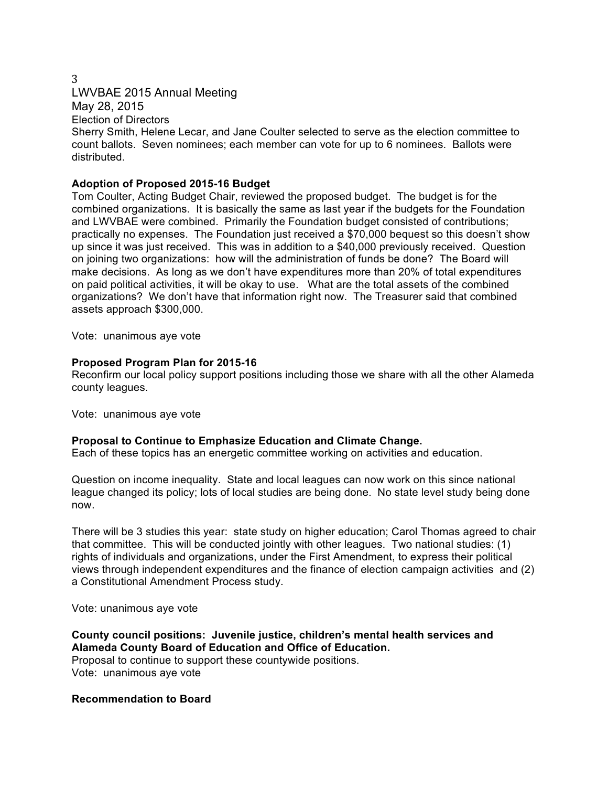#### 3

LWVBAE 2015 Annual Meeting May 28, 2015

Election of Directors

Sherry Smith, Helene Lecar, and Jane Coulter selected to serve as the election committee to count ballots. Seven nominees; each member can vote for up to 6 nominees. Ballots were distributed.

## **Adoption of Proposed 2015-16 Budget**

Tom Coulter, Acting Budget Chair, reviewed the proposed budget. The budget is for the combined organizations. It is basically the same as last year if the budgets for the Foundation and LWVBAE were combined. Primarily the Foundation budget consisted of contributions; practically no expenses. The Foundation just received a \$70,000 bequest so this doesn't show up since it was just received. This was in addition to a \$40,000 previously received. Question on joining two organizations: how will the administration of funds be done? The Board will make decisions. As long as we don't have expenditures more than 20% of total expenditures on paid political activities, it will be okay to use. What are the total assets of the combined organizations? We don't have that information right now. The Treasurer said that combined assets approach \$300,000.

Vote: unanimous aye vote

# **Proposed Program Plan for 2015-16**

Reconfirm our local policy support positions including those we share with all the other Alameda county leagues.

Vote: unanimous aye vote

# **Proposal to Continue to Emphasize Education and Climate Change.**

Each of these topics has an energetic committee working on activities and education.

Question on income inequality. State and local leagues can now work on this since national league changed its policy; lots of local studies are being done. No state level study being done now.

There will be 3 studies this year: state study on higher education; Carol Thomas agreed to chair that committee. This will be conducted jointly with other leagues. Two national studies: (1) rights of individuals and organizations, under the First Amendment, to express their political views through independent expenditures and the finance of election campaign activities and (2) a Constitutional Amendment Process study.

Vote: unanimous aye vote

**County council positions: Juvenile justice, children's mental health services and Alameda County Board of Education and Office of Education.** 

Proposal to continue to support these countywide positions. Vote: unanimous aye vote

**Recommendation to Board**